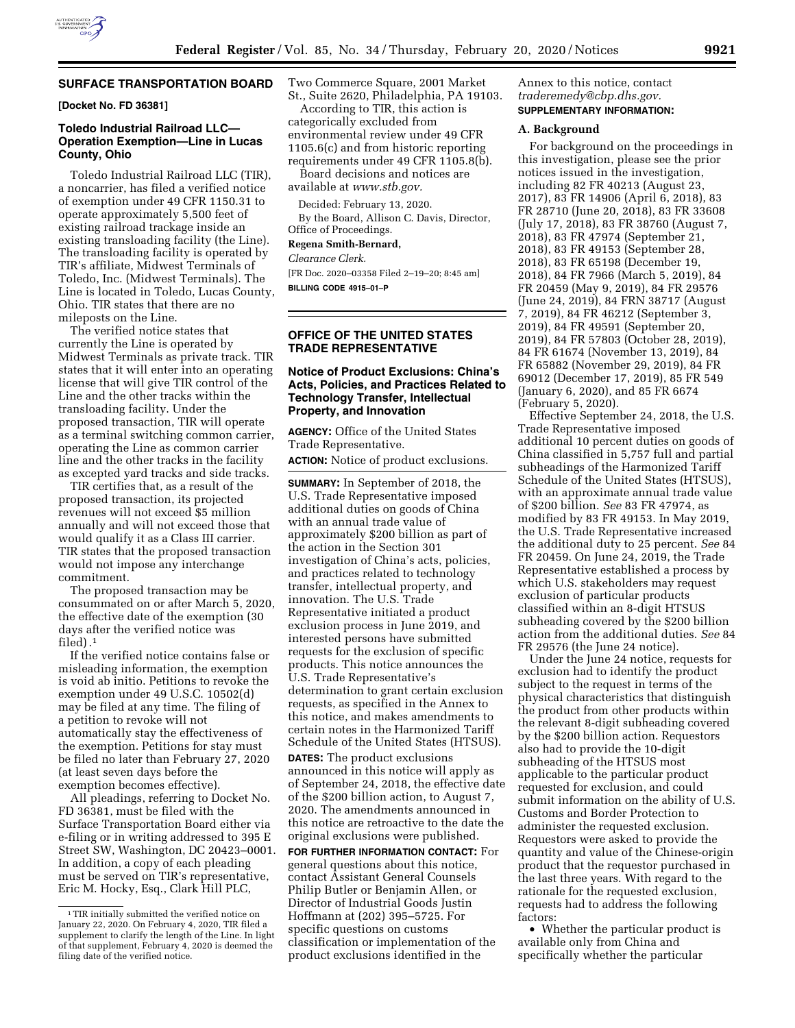

#### **SURFACE TRANSPORTATION BOARD**

**[Docket No. FD 36381]** 

# **Toledo Industrial Railroad LLC— Operation Exemption—Line in Lucas County, Ohio**

Toledo Industrial Railroad LLC (TIR), a noncarrier, has filed a verified notice of exemption under 49 CFR 1150.31 to operate approximately 5,500 feet of existing railroad trackage inside an existing transloading facility (the Line). The transloading facility is operated by TIR's affiliate, Midwest Terminals of Toledo, Inc. (Midwest Terminals). The Line is located in Toledo, Lucas County, Ohio. TIR states that there are no mileposts on the Line.

The verified notice states that currently the Line is operated by Midwest Terminals as private track. TIR states that it will enter into an operating license that will give TIR control of the Line and the other tracks within the transloading facility. Under the proposed transaction, TIR will operate as a terminal switching common carrier, operating the Line as common carrier line and the other tracks in the facility as excepted yard tracks and side tracks.

TIR certifies that, as a result of the proposed transaction, its projected revenues will not exceed \$5 million annually and will not exceed those that would qualify it as a Class III carrier. TIR states that the proposed transaction would not impose any interchange commitment.

The proposed transaction may be consummated on or after March 5, 2020, the effective date of the exemption (30 days after the verified notice was filed). $<sup>1</sup>$ </sup>

If the verified notice contains false or misleading information, the exemption is void ab initio. Petitions to revoke the exemption under 49 U.S.C. 10502(d) may be filed at any time. The filing of a petition to revoke will not automatically stay the effectiveness of the exemption. Petitions for stay must be filed no later than February 27, 2020 (at least seven days before the exemption becomes effective).

All pleadings, referring to Docket No. FD 36381, must be filed with the Surface Transportation Board either via e-filing or in writing addressed to 395 E Street SW, Washington, DC 20423–0001. In addition, a copy of each pleading must be served on TIR's representative, Eric M. Hocky, Esq., Clark Hill PLC,

Two Commerce Square, 2001 Market St., Suite 2620, Philadelphia, PA 19103.

According to TIR, this action is categorically excluded from environmental review under 49 CFR 1105.6(c) and from historic reporting requirements under 49 CFR 1105.8(b).

Board decisions and notices are available at *[www.stb.gov.](http://www.stb.gov)* 

Decided: February 13, 2020.

By the Board, Allison C. Davis, Director, Office of Proceedings.

#### **Regena Smith-Bernard,**

*Clearance Clerk.* 

[FR Doc. 2020–03358 Filed 2–19–20; 8:45 am] **BILLING CODE 4915–01–P** 

# **OFFICE OF THE UNITED STATES TRADE REPRESENTATIVE**

## **Notice of Product Exclusions: China's Acts, Policies, and Practices Related to Technology Transfer, Intellectual Property, and Innovation**

**AGENCY:** Office of the United States Trade Representative.

**ACTION:** Notice of product exclusions.

**SUMMARY:** In September of 2018, the U.S. Trade Representative imposed additional duties on goods of China with an annual trade value of approximately \$200 billion as part of the action in the Section 301 investigation of China's acts, policies, and practices related to technology transfer, intellectual property, and innovation. The U.S. Trade Representative initiated a product exclusion process in June 2019, and interested persons have submitted requests for the exclusion of specific products. This notice announces the U.S. Trade Representative's determination to grant certain exclusion requests, as specified in the Annex to this notice, and makes amendments to certain notes in the Harmonized Tariff Schedule of the United States (HTSUS).

**DATES:** The product exclusions announced in this notice will apply as of September 24, 2018, the effective date of the \$200 billion action, to August 7, 2020. The amendments announced in this notice are retroactive to the date the original exclusions were published.

**FOR FURTHER INFORMATION CONTACT:** For general questions about this notice, contact Assistant General Counsels Philip Butler or Benjamin Allen, or Director of Industrial Goods Justin Hoffmann at (202) 395–5725. For specific questions on customs classification or implementation of the product exclusions identified in the

Annex to this notice, contact *[traderemedy@cbp.dhs.gov.](mailto:traderemedy@cbp.dhs.gov)*  **SUPPLEMENTARY INFORMATION:** 

## **A. Background**

For background on the proceedings in this investigation, please see the prior notices issued in the investigation, including 82 FR 40213 (August 23, 2017), 83 FR 14906 (April 6, 2018), 83 FR 28710 (June 20, 2018), 83 FR 33608 (July 17, 2018), 83 FR 38760 (August 7, 2018), 83 FR 47974 (September 21, 2018), 83 FR 49153 (September 28, 2018), 83 FR 65198 (December 19, 2018), 84 FR 7966 (March 5, 2019), 84 FR 20459 (May 9, 2019), 84 FR 29576 (June 24, 2019), 84 FRN 38717 (August 7, 2019), 84 FR 46212 (September 3, 2019), 84 FR 49591 (September 20, 2019), 84 FR 57803 (October 28, 2019), 84 FR 61674 (November 13, 2019), 84 FR 65882 (November 29, 2019), 84 FR 69012 (December 17, 2019), 85 FR 549 (January 6, 2020), and 85 FR 6674 (February 5, 2020).

Effective September 24, 2018, the U.S. Trade Representative imposed additional 10 percent duties on goods of China classified in 5,757 full and partial subheadings of the Harmonized Tariff Schedule of the United States (HTSUS), with an approximate annual trade value of \$200 billion. *See* 83 FR 47974, as modified by 83 FR 49153. In May 2019, the U.S. Trade Representative increased the additional duty to 25 percent. *See* 84 FR 20459. On June 24, 2019, the Trade Representative established a process by which U.S. stakeholders may request exclusion of particular products classified within an 8-digit HTSUS subheading covered by the \$200 billion action from the additional duties. *See* 84 FR 29576 (the June 24 notice).

Under the June 24 notice, requests for exclusion had to identify the product subject to the request in terms of the physical characteristics that distinguish the product from other products within the relevant 8-digit subheading covered by the \$200 billion action. Requestors also had to provide the 10-digit subheading of the HTSUS most applicable to the particular product requested for exclusion, and could submit information on the ability of U.S. Customs and Border Protection to administer the requested exclusion. Requestors were asked to provide the quantity and value of the Chinese-origin product that the requestor purchased in the last three years. With regard to the rationale for the requested exclusion, requests had to address the following factors:

• Whether the particular product is available only from China and specifically whether the particular

<sup>&</sup>lt;sup>1</sup>TIR initially submitted the verified notice on January 22, 2020. On February 4, 2020, TIR filed a supplement to clarify the length of the Line. In light of that supplement, February 4, 2020 is deemed the filing date of the verified notice.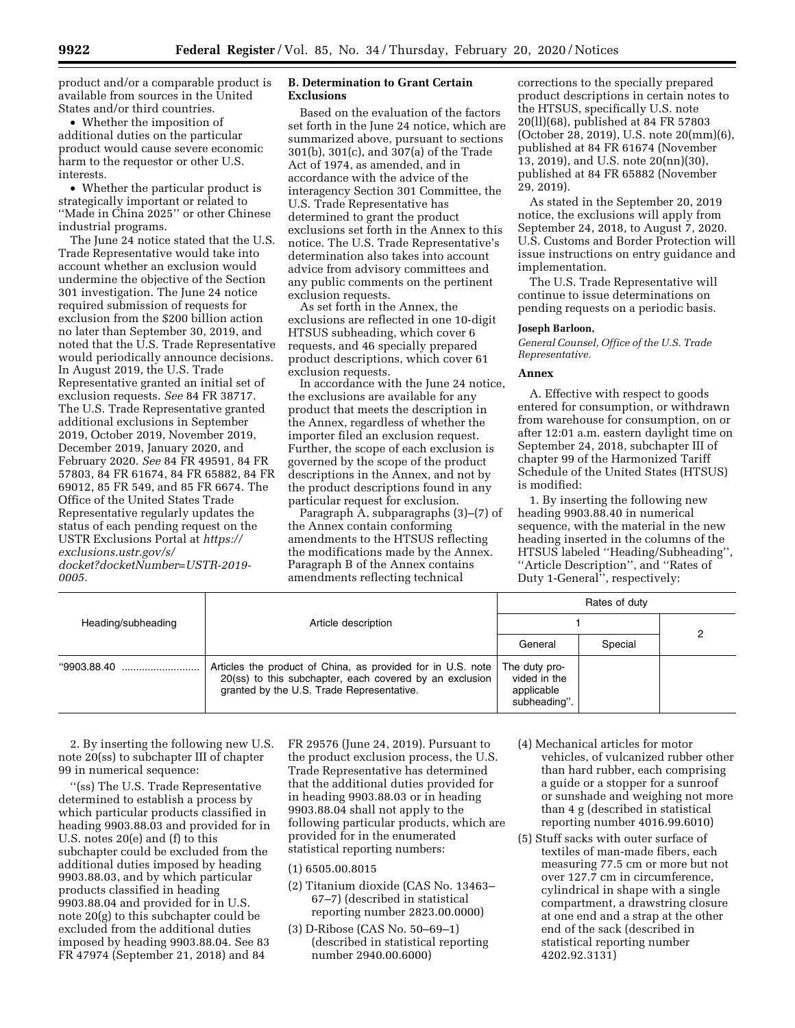product and/or a comparable product is available from sources in the United States and/or third countries.

• Whether the imposition of additional duties on the particular product would cause severe economic harm to the requestor or other U.S. interests.

• Whether the particular product is strategically important or related to ''Made in China 2025'' or other Chinese industrial programs.

The June 24 notice stated that the U.S. Trade Representative would take into account whether an exclusion would undermine the objective of the Section 301 investigation. The June 24 notice required submission of requests for exclusion from the \$200 billion action no later than September 30, 2019, and noted that the U.S. Trade Representative would periodically announce decisions. In August 2019, the U.S. Trade Representative granted an initial set of exclusion requests. *See* 84 FR 38717. The U.S. Trade Representative granted additional exclusions in September 2019, October 2019, November 2019, December 2019, January 2020, and February 2020. *See* 84 FR 49591, 84 FR 57803, 84 FR 61674, 84 FR 65882, 84 FR 69012, 85 FR 549, and 85 FR 6674. The Office of the United States Trade Representative regularly updates the status of each pending request on the USTR Exclusions Portal at *[https://](https://exclusions.ustr.gov/s/docket?docketNumber=USTR-2019-0005) [exclusions.ustr.gov/s/](https://exclusions.ustr.gov/s/docket?docketNumber=USTR-2019-0005)* 

*[docket?docketNumber=USTR-2019-](https://exclusions.ustr.gov/s/docket?docketNumber=USTR-2019-0005) [0005.](https://exclusions.ustr.gov/s/docket?docketNumber=USTR-2019-0005)* 

# **B. Determination to Grant Certain Exclusions**

Based on the evaluation of the factors set forth in the June 24 notice, which are summarized above, pursuant to sections 301(b), 301(c), and 307(a) of the Trade Act of 1974, as amended, and in accordance with the advice of the interagency Section 301 Committee, the U.S. Trade Representative has determined to grant the product exclusions set forth in the Annex to this notice. The U.S. Trade Representative's determination also takes into account advice from advisory committees and any public comments on the pertinent exclusion requests.

As set forth in the Annex, the exclusions are reflected in one 10-digit HTSUS subheading, which cover 6 requests, and 46 specially prepared product descriptions, which cover 61 exclusion requests.

In accordance with the June 24 notice, the exclusions are available for any product that meets the description in the Annex, regardless of whether the importer filed an exclusion request. Further, the scope of each exclusion is governed by the scope of the product descriptions in the Annex, and not by the product descriptions found in any particular request for exclusion.

Paragraph A, subparagraphs (3)–(7) of the Annex contain conforming amendments to the HTSUS reflecting the modifications made by the Annex. Paragraph B of the Annex contains amendments reflecting technical

corrections to the specially prepared product descriptions in certain notes to the HTSUS, specifically U.S. note 20(ll)(68), published at 84 FR 57803 (October 28, 2019), U.S. note 20(mm)(6), published at 84 FR 61674 (November 13, 2019), and U.S. note 20(nn)(30), published at 84 FR 65882 (November 29, 2019).

As stated in the September 20, 2019 notice, the exclusions will apply from September 24, 2018, to August 7, 2020. U.S. Customs and Border Protection will issue instructions on entry guidance and implementation.

The U.S. Trade Representative will continue to issue determinations on pending requests on a periodic basis.

#### **Joseph Barloon,**

*General Counsel, Office of the U.S. Trade Representative.* 

#### **Annex**

A. Effective with respect to goods entered for consumption, or withdrawn from warehouse for consumption, on or after 12:01 a.m. eastern daylight time on September 24, 2018, subchapter III of chapter 99 of the Harmonized Tariff Schedule of the United States (HTSUS) is modified:

1. By inserting the following new heading 9903.88.40 in numerical sequence, with the material in the new heading inserted in the columns of the HTSUS labeled ''Heading/Subheading'', ''Article Description'', and ''Rates of Duty 1-General'', respectively:

| Heading/subheading | Article description                                                                                                                                                 | Rates of duty                                               |         |  |
|--------------------|---------------------------------------------------------------------------------------------------------------------------------------------------------------------|-------------------------------------------------------------|---------|--|
|                    |                                                                                                                                                                     |                                                             |         |  |
|                    |                                                                                                                                                                     | General                                                     | Special |  |
| "9903.88.40        | Articles the product of China, as provided for in U.S. note<br>20(ss) to this subchapter, each covered by an exclusion<br>granted by the U.S. Trade Representative. | The duty pro-<br>vided in the<br>applicable<br>subheading". |         |  |

2. By inserting the following new U.S. note 20(ss) to subchapter III of chapter 99 in numerical sequence:

''(ss) The U.S. Trade Representative determined to establish a process by which particular products classified in heading 9903.88.03 and provided for in U.S. notes 20(e) and (f) to this subchapter could be excluded from the additional duties imposed by heading 9903.88.03, and by which particular products classified in heading 9903.88.04 and provided for in U.S. note 20(g) to this subchapter could be excluded from the additional duties imposed by heading 9903.88.04. See 83 FR 47974 (September 21, 2018) and 84

FR 29576 (June 24, 2019). Pursuant to the product exclusion process, the U.S. Trade Representative has determined that the additional duties provided for in heading 9903.88.03 or in heading 9903.88.04 shall not apply to the following particular products, which are provided for in the enumerated statistical reporting numbers:

(1) 6505.00.8015

- (2) Titanium dioxide (CAS No. 13463– 67–7) (described in statistical reporting number 2823.00.0000)
- (3) D-Ribose (CAS No. 50–69–1) (described in statistical reporting number 2940.00.6000)
- (4) Mechanical articles for motor vehicles, of vulcanized rubber other than hard rubber, each comprising a guide or a stopper for a sunroof or sunshade and weighing not more than 4 g (described in statistical reporting number 4016.99.6010)
- (5) Stuff sacks with outer surface of textiles of man-made fibers, each measuring 77.5 cm or more but not over 127.7 cm in circumference, cylindrical in shape with a single compartment, a drawstring closure at one end and a strap at the other end of the sack (described in statistical reporting number 4202.92.3131)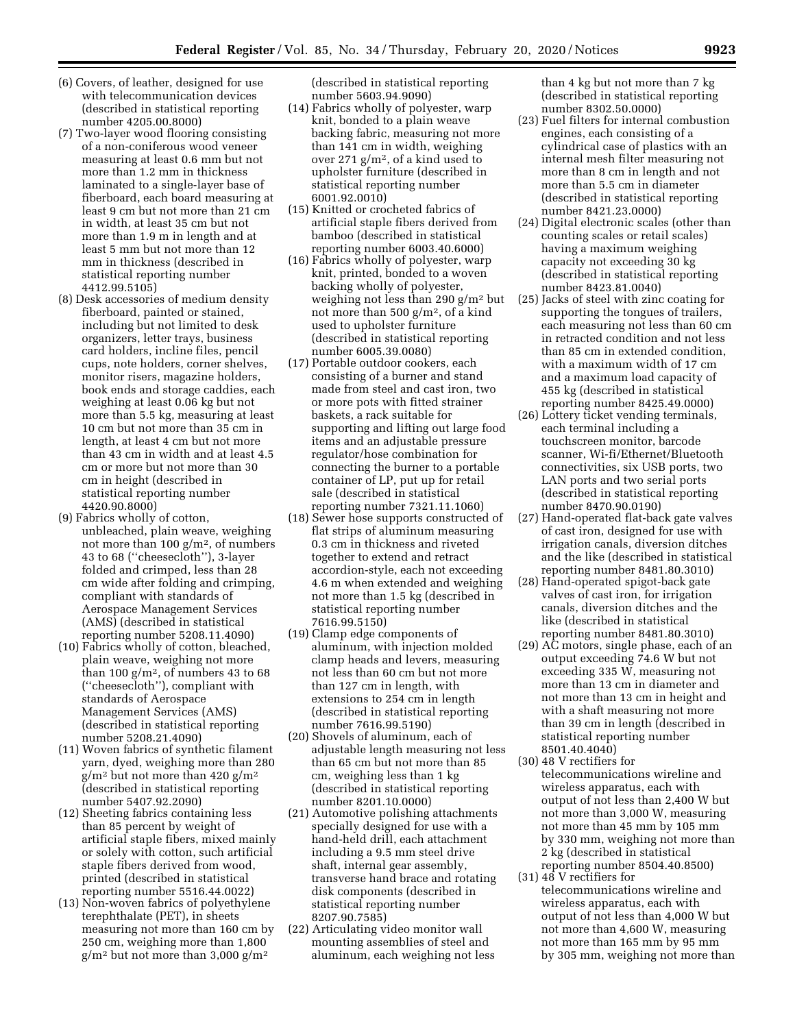- (6) Covers, of leather, designed for use with telecommunication devices (described in statistical reporting number 4205.00.8000)
- (7) Two-layer wood flooring consisting of a non-coniferous wood veneer measuring at least 0.6 mm but not more than 1.2 mm in thickness laminated to a single-layer base of fiberboard, each board measuring at least 9 cm but not more than 21 cm in width, at least 35 cm but not more than 1.9 m in length and at least 5 mm but not more than 12 mm in thickness (described in statistical reporting number 4412.99.5105)
- (8) Desk accessories of medium density fiberboard, painted or stained, including but not limited to desk organizers, letter trays, business card holders, incline files, pencil cups, note holders, corner shelves, monitor risers, magazine holders, book ends and storage caddies, each weighing at least 0.06 kg but not more than 5.5 kg, measuring at least 10 cm but not more than 35 cm in length, at least 4 cm but not more than 43 cm in width and at least 4.5 cm or more but not more than 30 cm in height (described in statistical reporting number 4420.90.8000)
- (9) Fabrics wholly of cotton, unbleached, plain weave, weighing not more than 100  $g/m^2$ , of numbers 43 to 68 (''cheesecloth''), 3-layer folded and crimped, less than 28 cm wide after folding and crimping, compliant with standards of Aerospace Management Services (AMS) (described in statistical reporting number 5208.11.4090)
- (10) Fabrics wholly of cotton, bleached, plain weave, weighing not more than 100  $g/m^2$ , of numbers 43 to 68 (''cheesecloth''), compliant with standards of Aerospace Management Services (AMS) (described in statistical reporting number 5208.21.4090)
- (11) Woven fabrics of synthetic filament yarn, dyed, weighing more than 280  $g/m^2$  but not more than 420  $g/m^2$ (described in statistical reporting number 5407.92.2090)
- (12) Sheeting fabrics containing less than 85 percent by weight of artificial staple fibers, mixed mainly or solely with cotton, such artificial staple fibers derived from wood, printed (described in statistical reporting number 5516.44.0022)
- (13) Non-woven fabrics of polyethylene terephthalate (PET), in sheets measuring not more than 160 cm by 250 cm, weighing more than 1,800  $g/m^2$  but not more than 3,000  $g/m^2$

(described in statistical reporting number 5603.94.9090)

- (14) Fabrics wholly of polyester, warp knit, bonded to a plain weave backing fabric, measuring not more than 141 cm in width, weighing over 271 g/m2, of a kind used to upholster furniture (described in statistical reporting number 6001.92.0010)
- (15) Knitted or crocheted fabrics of artificial staple fibers derived from bamboo (described in statistical reporting number 6003.40.6000)
- (16) Fabrics wholly of polyester, warp knit, printed, bonded to a woven backing wholly of polyester, weighing not less than 290 g/m2 but not more than 500 g/m2, of a kind used to upholster furniture (described in statistical reporting number 6005.39.0080)
- (17) Portable outdoor cookers, each consisting of a burner and stand made from steel and cast iron, two or more pots with fitted strainer baskets, a rack suitable for supporting and lifting out large food items and an adjustable pressure regulator/hose combination for connecting the burner to a portable container of LP, put up for retail sale (described in statistical reporting number 7321.11.1060)
- (18) Sewer hose supports constructed of flat strips of aluminum measuring 0.3 cm in thickness and riveted together to extend and retract accordion-style, each not exceeding 4.6 m when extended and weighing not more than 1.5 kg (described in statistical reporting number 7616.99.5150)
- (19) Clamp edge components of aluminum, with injection molded clamp heads and levers, measuring not less than 60 cm but not more than 127 cm in length, with extensions to 254 cm in length (described in statistical reporting number 7616.99.5190)
- (20) Shovels of aluminum, each of adjustable length measuring not less than 65 cm but not more than 85 cm, weighing less than 1 kg (described in statistical reporting number 8201.10.0000)
- (21) Automotive polishing attachments specially designed for use with a hand-held drill, each attachment including a 9.5 mm steel drive shaft, internal gear assembly, transverse hand brace and rotating disk components (described in statistical reporting number 8207.90.7585)
- (22) Articulating video monitor wall mounting assemblies of steel and aluminum, each weighing not less

than 4 kg but not more than 7 kg (described in statistical reporting number 8302.50.0000)

- (23) Fuel filters for internal combustion engines, each consisting of a cylindrical case of plastics with an internal mesh filter measuring not more than 8 cm in length and not more than 5.5 cm in diameter (described in statistical reporting number 8421.23.0000)
- (24) Digital electronic scales (other than counting scales or retail scales) having a maximum weighing capacity not exceeding 30 kg (described in statistical reporting number 8423.81.0040)
- (25) Jacks of steel with zinc coating for supporting the tongues of trailers, each measuring not less than 60 cm in retracted condition and not less than 85 cm in extended condition, with a maximum width of 17 cm and a maximum load capacity of 455 kg (described in statistical reporting number 8425.49.0000)
- (26) Lottery ticket vending terminals, each terminal including a touchscreen monitor, barcode scanner, Wi-fi/Ethernet/Bluetooth connectivities, six USB ports, two LAN ports and two serial ports (described in statistical reporting number 8470.90.0190)
- (27) Hand-operated flat-back gate valves of cast iron, designed for use with irrigation canals, diversion ditches and the like (described in statistical reporting number 8481.80.3010)
- (28) Hand-operated spigot-back gate valves of cast iron, for irrigation canals, diversion ditches and the like (described in statistical reporting number 8481.80.3010)
- (29) AC motors, single phase, each of an output exceeding 74.6 W but not exceeding 335 W, measuring not more than 13 cm in diameter and not more than 13 cm in height and with a shaft measuring not more than 39 cm in length (described in statistical reporting number 8501.40.4040)
- (30) 48 V rectifiers for telecommunications wireline and wireless apparatus, each with output of not less than 2,400 W but not more than 3,000 W, measuring not more than 45 mm by 105 mm by 330 mm, weighing not more than 2 kg (described in statistical reporting number 8504.40.8500)
- (31) 48 V rectifiers for telecommunications wireline and wireless apparatus, each with output of not less than 4,000 W but not more than 4,600 W, measuring not more than 165 mm by 95 mm by 305 mm, weighing not more than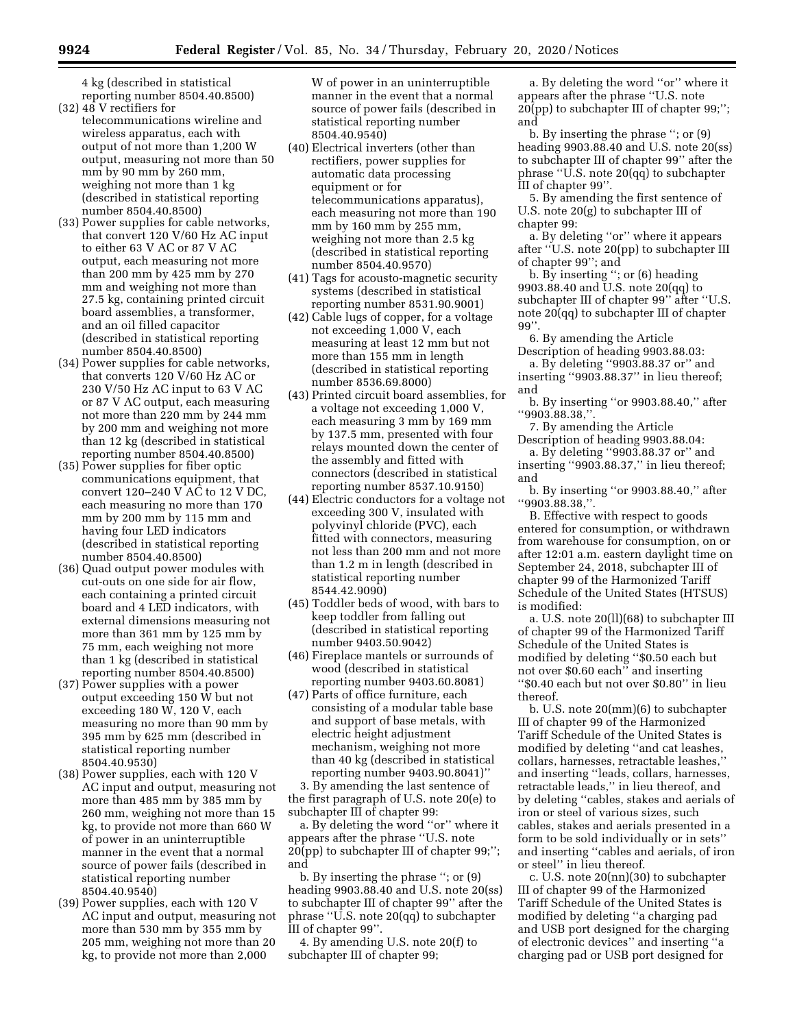4 kg (described in statistical reporting number 8504.40.8500)

- (32) 48 V rectifiers for telecommunications wireline and wireless apparatus, each with output of not more than 1,200 W output, measuring not more than 50 mm by 90 mm by 260 mm, weighing not more than 1 kg (described in statistical reporting number 8504.40.8500)
- (33) Power supplies for cable networks, that convert 120 V/60 Hz AC input to either 63 V AC or 87 V AC output, each measuring not more than 200 mm by 425 mm by 270 mm and weighing not more than 27.5 kg, containing printed circuit board assemblies, a transformer, and an oil filled capacitor (described in statistical reporting number 8504.40.8500)
- (34) Power supplies for cable networks, that converts 120 V/60 Hz AC or 230 V/50 Hz AC input to 63 V AC or 87 V AC output, each measuring not more than 220 mm by 244 mm by 200 mm and weighing not more than 12 kg (described in statistical reporting number 8504.40.8500)
- (35) Power supplies for fiber optic communications equipment, that convert 120–240 V AC to 12 V DC, each measuring no more than 170 mm by 200 mm by 115 mm and having four LED indicators (described in statistical reporting number 8504.40.8500)
- (36) Quad output power modules with cut-outs on one side for air flow, each containing a printed circuit board and 4 LED indicators, with external dimensions measuring not more than 361 mm by 125 mm by 75 mm, each weighing not more than 1 kg (described in statistical reporting number 8504.40.8500)
- (37) Power supplies with a power output exceeding 150 W but not exceeding 180 W, 120 V, each measuring no more than 90 mm by 395 mm by 625 mm (described in statistical reporting number 8504.40.9530)
- (38) Power supplies, each with 120 V AC input and output, measuring not more than 485 mm by 385 mm by 260 mm, weighing not more than 15 kg, to provide not more than 660 W of power in an uninterruptible manner in the event that a normal source of power fails (described in statistical reporting number 8504.40.9540)
- (39) Power supplies, each with 120 V AC input and output, measuring not more than 530 mm by 355 mm by 205 mm, weighing not more than 20 kg, to provide not more than 2,000

W of power in an uninterruptible manner in the event that a normal source of power fails (described in statistical reporting number 8504.40.9540)

- (40) Electrical inverters (other than rectifiers, power supplies for automatic data processing equipment or for telecommunications apparatus), each measuring not more than 190 mm by 160 mm by 255 mm, weighing not more than 2.5 kg (described in statistical reporting number 8504.40.9570)
- (41) Tags for acousto-magnetic security systems (described in statistical reporting number 8531.90.9001)
- (42) Cable lugs of copper, for a voltage not exceeding 1,000 V, each measuring at least 12 mm but not more than 155 mm in length (described in statistical reporting number 8536.69.8000)
- (43) Printed circuit board assemblies, for a voltage not exceeding 1,000 V, each measuring 3 mm by 169 mm by 137.5 mm, presented with four relays mounted down the center of the assembly and fitted with connectors (described in statistical reporting number 8537.10.9150)
- (44) Electric conductors for a voltage not exceeding 300 V, insulated with polyvinyl chloride (PVC), each fitted with connectors, measuring not less than 200 mm and not more than 1.2 m in length (described in statistical reporting number 8544.42.9090)
- (45) Toddler beds of wood, with bars to keep toddler from falling out (described in statistical reporting number 9403.50.9042)
- (46) Fireplace mantels or surrounds of wood (described in statistical reporting number 9403.60.8081)
- (47) Parts of office furniture, each consisting of a modular table base and support of base metals, with electric height adjustment mechanism, weighing not more than 40 kg (described in statistical reporting number 9403.90.8041)''

3. By amending the last sentence of the first paragraph of U.S. note 20(e) to subchapter III of chapter 99:

a. By deleting the word ''or'' where it appears after the phrase ''U.S. note 20(pp) to subchapter III of chapter 99;''; and

b. By inserting the phrase ''; or (9) heading 9903.88.40 and U.S. note 20(ss) to subchapter III of chapter 99'' after the phrase ''U.S. note 20(qq) to subchapter III of chapter 99''.

4. By amending U.S. note 20(f) to subchapter III of chapter 99;

a. By deleting the word ''or'' where it appears after the phrase ''U.S. note 20(pp) to subchapter III of chapter 99;''; and

b. By inserting the phrase ''; or (9) heading 9903.88.40 and U.S. note 20(ss) to subchapter III of chapter 99'' after the phrase ''U.S. note 20(qq) to subchapter III of chapter 99''.

5. By amending the first sentence of U.S. note 20(g) to subchapter III of chapter 99:

a. By deleting ''or'' where it appears after ''U.S. note 20(pp) to subchapter III of chapter 99''; and

b. By inserting ''; or (6) heading 9903.88.40 and U.S. note 20(qq) to subchapter III of chapter 99'' after ''U.S. note 20(qq) to subchapter III of chapter 99''.

6. By amending the Article Description of heading 9903.88.03:

a. By deleting ''9903.88.37 or'' and inserting ''9903.88.37'' in lieu thereof; and

b. By inserting ''or 9903.88.40,'' after ''9903.88.38,''.

7. By amending the Article Description of heading 9903.88.04: a. By deleting ''9903.88.37 or'' and inserting ''9903.88.37,'' in lieu thereof; and

b. By inserting ''or 9903.88.40,'' after ''9903.88.38,''.

B. Effective with respect to goods entered for consumption, or withdrawn from warehouse for consumption, on or after 12:01 a.m. eastern daylight time on September 24, 2018, subchapter III of chapter 99 of the Harmonized Tariff Schedule of the United States (HTSUS) is modified:

a. U.S. note 20(ll)(68) to subchapter III of chapter 99 of the Harmonized Tariff Schedule of the United States is modified by deleting ''\$0.50 each but not over \$0.60 each'' and inserting ''\$0.40 each but not over \$0.80'' in lieu thereof.

b. U.S. note 20(mm)(6) to subchapter III of chapter 99 of the Harmonized Tariff Schedule of the United States is modified by deleting ''and cat leashes, collars, harnesses, retractable leashes,'' and inserting ''leads, collars, harnesses, retractable leads," in lieu thereof, and by deleting ''cables, stakes and aerials of iron or steel of various sizes, such cables, stakes and aerials presented in a form to be sold individually or in sets'' and inserting ''cables and aerials, of iron or steel'' in lieu thereof.

c. U.S. note 20(nn)(30) to subchapter III of chapter 99 of the Harmonized Tariff Schedule of the United States is modified by deleting ''a charging pad and USB port designed for the charging of electronic devices'' and inserting ''a charging pad or USB port designed for